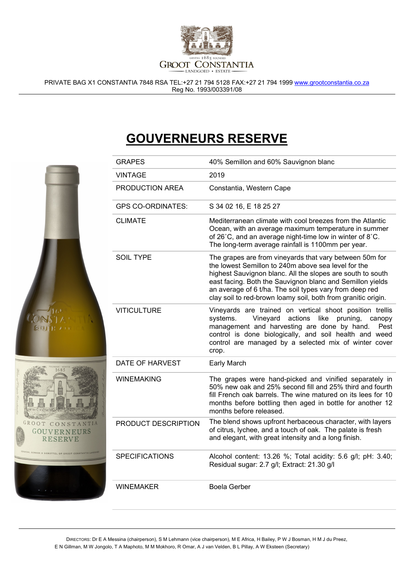

PRIVATE BAG X1 CONSTANTIA 7848 RSA TEL:+27 21 794 5128 FAX:+27 21 794 1999 www.grootconstantia.co.za Reg No. 1993/003391/08

## GOUVERNEURS RESERVE

|                                                                       | <b>GRAPES</b>            | 40% Semillon and 60% Sauvignon blanc                                                                                                                                                                                                                                                                                                                                  |
|-----------------------------------------------------------------------|--------------------------|-----------------------------------------------------------------------------------------------------------------------------------------------------------------------------------------------------------------------------------------------------------------------------------------------------------------------------------------------------------------------|
|                                                                       | <b>VINTAGE</b>           | 2019                                                                                                                                                                                                                                                                                                                                                                  |
|                                                                       | PRODUCTION AREA          | Constantia, Western Cape                                                                                                                                                                                                                                                                                                                                              |
|                                                                       | <b>GPS CO-ORDINATES:</b> | S 34 02 16, E 18 25 27                                                                                                                                                                                                                                                                                                                                                |
|                                                                       | <b>CLIMATE</b>           | Mediterranean climate with cool breezes from the Atlantic<br>Ocean, with an average maximum temperature in summer<br>of 26°C, and an average night-time low in winter of 8°C.<br>The long-term average rainfall is 1100mm per year.                                                                                                                                   |
|                                                                       | <b>SOIL TYPE</b>         | The grapes are from vineyards that vary between 50m for<br>the lowest Semillon to 240m above sea level for the<br>highest Sauvignon blanc. All the slopes are south to south<br>east facing. Both the Sauvignon blanc and Semillon yields<br>an average of 6 t/ha. The soil types vary from deep red<br>clay soil to red-brown loamy soil, both from granitic origin. |
| <b>SOUTH ATT</b><br>GROOT CONSTANTIA<br><b>GOUVERNEURS</b><br>RESERVE | <b>VITICULTURE</b>       | Vineyards are trained on vertical shoot position trellis<br>systems.<br>Vineyard actions<br>like<br>pruning,<br>canopy<br>management and harvesting are done by hand.<br>Pest<br>control is done biologically, and soil health and weed<br>control are managed by a selected mix of winter cover<br>crop.                                                             |
|                                                                       | DATE OF HARVEST          | Early March                                                                                                                                                                                                                                                                                                                                                           |
|                                                                       | <b>WINEMAKING</b>        | The grapes were hand-picked and vinified separately in<br>50% new oak and 25% second fill and 25% third and fourth<br>fill French oak barrels. The wine matured on its lees for 10<br>months before bottling then aged in bottle for another 12<br>months before released.                                                                                            |
|                                                                       | PRODUCT DESCRIPTION      | The blend shows upfront herbaceous character, with layers<br>of citrus, lychee, and a touch of oak. The palate is fresh<br>and elegant, with great intensity and a long finish.                                                                                                                                                                                       |
|                                                                       | <b>SPECIFICATIONS</b>    | Alcohol content: 13.26 %; Total acidity: 5.6 g/l; pH: 3.40;<br>Residual sugar: 2.7 g/l; Extract: 21.30 g/l                                                                                                                                                                                                                                                            |
|                                                                       | <b>WINEMAKER</b>         | <b>Boela Gerber</b>                                                                                                                                                                                                                                                                                                                                                   |
|                                                                       |                          |                                                                                                                                                                                                                                                                                                                                                                       |

DIRECTORS: Dr E A Messina (chairperson), S M Lehmann (vice chairperson), M E Africa, H Bailey, P W J Bosman, H M J du Preez, E N Gillman, M W Jongolo, T A Maphoto, M M Mokhoro, R Omar, A J van Velden, B L Pillay, A W Eksteen (Secretary)